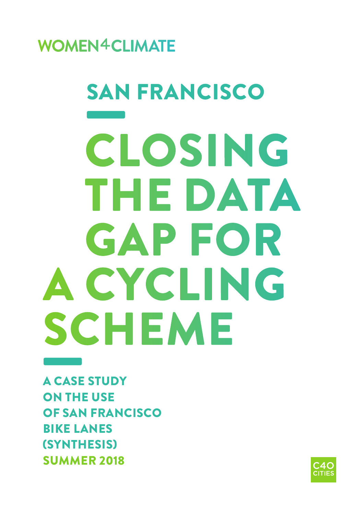**WOMEN4CLIMATE** 

# SAN<br>CI CLOSING THE DATA GAP FOR A CYCLING SCHEME SAN FRANCISCO

A CASE STUDY ON THE USE OF SAN FRANCISCO BIKE LANES (SYNTHESIS) SUMMER 2018 A CASE

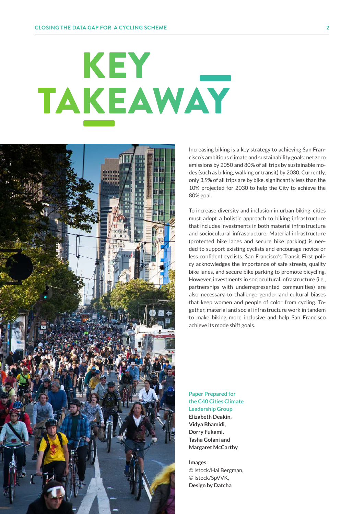# KEY TAKEAWAY



Increasing biking is a key strategy to achieving San Francisco's ambitious climate and sustainability goals: net zero emissions by 2050 and 80% of all trips by sustainable modes (such as biking, walking or transit) by 2030. Currently, only 3.9% of all trips are by bike, significantly less than the 10% projected for 2030 to help the City to achieve the 80% goal.

To increase diversity and inclusion in urban biking, cities must adopt a holistic approach to biking infrastructure that includes investments in both material infrastructure and sociocultural infrastructure. Material infrastructure (protected bike lanes and secure bike parking) is needed to support existing cyclists and encourage novice or less confident cyclists. San Francisco's Transit First policy acknowledges the importance of safe streets, quality bike lanes, and secure bike parking to promote bicycling. However, investments in sociocultural infrastructure (i.e., partnerships with underrepresented communities) are also necessary to challenge gender and cultural biases that keep women and people of color from cycling. Together, material and social infrastructure work in tandem to make biking more inclusive and help San Francisco achieve its mode shift goals.

**Paper Prepared for the C40 Cities Climate Leadership Group Elizabeth Deakin, Vidya Bhamidi, Dorry Fukami, Tasha Golani and Margaret McCarthy**

**Images :**  © Istock/Hal Bergman, © Istock/SpVVK, **Design by Datcha**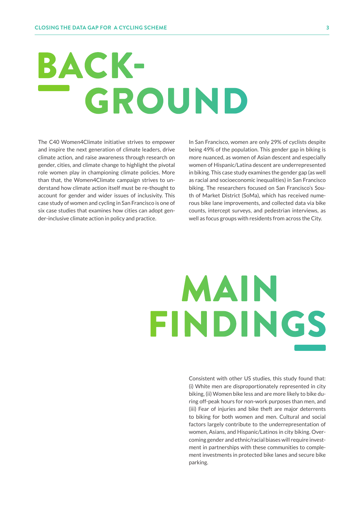# BACK- – GROUND

The C40 Women4Climate initiative strives to empower and inspire the next generation of climate leaders, drive climate action, and raise awareness through research on gender, cities, and climate change to highlight the pivotal role women play in championing climate policies. More than that, the Women4Climate campaign strives to understand how climate action itself must be re-thought to account for gender and wider issues of inclusivity. This case study of women and cycling in San Francisco is one of six case studies that examines how cities can adopt gender-inclusive climate action in policy and practice.

In San Francisco, women are only 29% of cyclists despite being 49% of the population. This gender gap in biking is more nuanced, as women of Asian descent and especially women of Hispanic/Latina descent are underrepresented in biking. This case study examines the gender gap (as well as racial and socioeconomic inequalities) in San Francisco biking. The researchers focused on San Francisco's South of Market District (SoMa), which has received numerous bike lane improvements, and collected data via bike counts, intercept surveys, and pedestrian interviews, as well as focus groups with residents from across the City.

# MAIN **FINDINGS** dy found that:

Consistent with other US studies, this study found that: (i) White men are disproportionately represented in city biking, (ii) Women bike less and are more likely to bike during off-peak hours for non-work purposes than men, and (iii) Fear of injuries and bike theft are major deterrents to biking for both women and men. Cultural and social factors largely contribute to the underrepresentation of women, Asians, and Hispanic/Latinos in city biking. Overcoming gender and ethnic/racial biases will require investment in partnerships with these communities to complement investments in protected bike lanes and secure bike parking.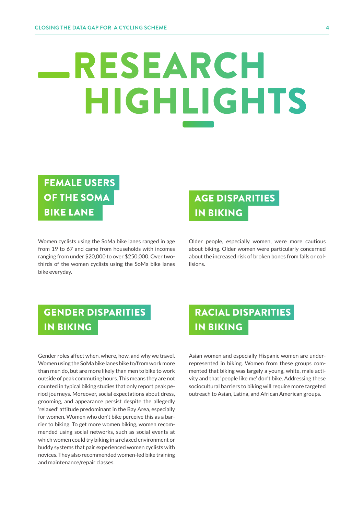# RESEARCH **HIGHLIGHTS** – –

## FEMALE USERS OF THE SOMA BIKE LANE

Women cyclists using the SoMa bike lanes ranged in age from 19 to 67 and came from households with incomes ranging from under \$20,000 to over \$250,000. Over twothirds of the women cyclists using the SoMa bike lanes bike everyday.

## AGE DISPARITIES IN BIKING

Older people, especially women, were more cautious about biking. Older women were particularly concerned about the increased risk of broken bones from falls or collisions.

## GENDER DISPARITIES IN BIKING

Gender roles affect when, where, how, and why we travel. Women using the SoMa bike lanes bike to/from work more than men do, but are more likely than men to bike to work outside of peak commuting hours. This means they are not counted in typical biking studies that only report peak period journeys. Moreover, social expectations about dress, grooming, and appearance persist despite the allegedly 'relaxed' attitude predominant in the Bay Area, especially for women. Women who don't bike perceive this as a barrier to biking. To get more women biking, women recommended using social networks, such as social events at which women could try biking in a relaxed environment or buddy systems that pair experienced women cyclists with novices. They also recommended women-led bike training and maintenance/repair classes.

### RACIAL DISPARITIES IN BIKING

Asian women and especially Hispanic women are underrepresented in biking. Women from these groups commented that biking was largely a young, white, male activity and that 'people like me' don't bike. Addressing these sociocultural barriers to biking will require more targeted outreach to Asian, Latina, and African American groups.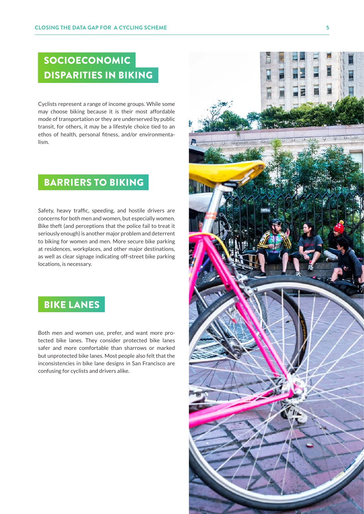## SOCIOECONOMIC DISPARITIES IN BIKING

Cyclists represent a range of income groups. While some may choose biking because it is their most affordable mode of transportation or they are underserved by public transit, for others, it may be a lifestyle choice tied to an ethos of health, personal fitness, and/or environmentalism.

#### BARRIERS TO BIKING

Safety, heavy traffic, speeding, and hostile drivers are concerns for both men and women, but especially women. Bike theft (and perceptions that the police fail to treat it seriously enough) is another major problem and deterrent to biking for women and men. More secure bike parking at residences, workplaces, and other major destinations, as well as clear signage indicating off-street bike parking locations, is necessary.

#### BIKE LANES

Both men and women use, prefer, and want more protected bike lanes. They consider protected bike lanes safer and more comfortable than sharrows or marked but unprotected bike lanes. Most people also felt that the inconsistencies in bike lane designs in San Francisco are confusing for cyclists and drivers alike.